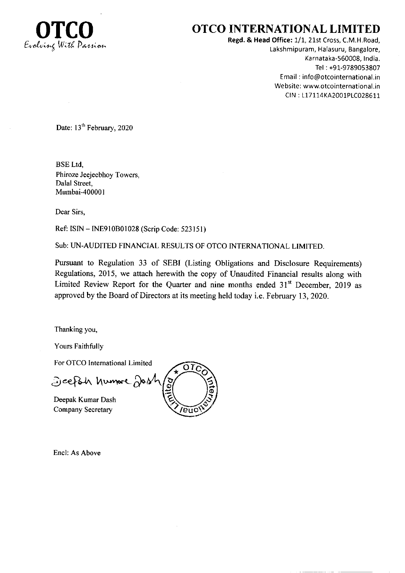

## **OTCO INTERNATIONAL LIMITED**

Regd. & Head Office: 1/1, 21st Cross, C.M.H.Road, Lakshmipuram, Halasuru, Bangalore, Karnataka-560008, India. Tel: +91-9789053807 Email: info@otcointernational.in Website: www.otcointernational.in CIN: L17114KA2001PLC028611

Date: 13<sup>th</sup> February, 2020

**BSE** Ltd. Phiroze Jeejeebhoy Towers, Dalal Street. Mumbai-400001

Dear Sirs,

Ref: ISIN - INE910B01028 (Scrip Code: 523151)

Sub: UN-AUDITED FINANCIAL RESULTS OF OTCO INTERNATIONAL LIMITED.

Pursuant to Regulation 33 of SEBI (Listing Obligations and Disclosure Requirements) Regulations, 2015, we attach herewith the copy of Unaudited Financial results along with Limited Review Report for the Quarter and nine months ended 31<sup>st</sup> December, 2019 as approved by the Board of Directors at its meeting held today i.e. February 13, 2020.

Thanking you,

Yours Faithfully

For OTCO International Limited

Jeeph humore Job

Deepak Kumar Dash Company Secretary



Encl: As Above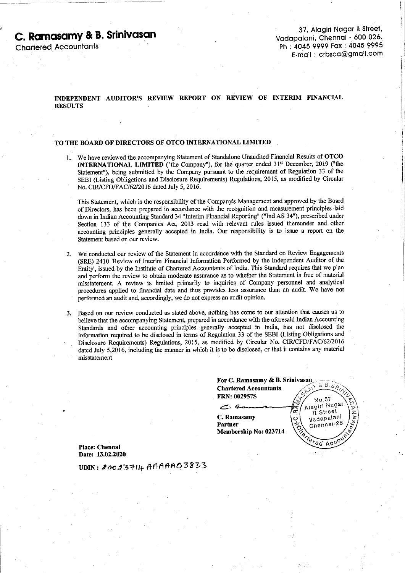# C. Ramasamy & B. Srinivasan

**Charlered Accountants** 

#### INDEPENDENT AUDITOR'S REVIEW REPORT ON REVIEW OF INTERIM FINANCIAL **RESULTS**

#### TO THE BOARD OF DIRECTORS OF OTCO INTERNATIONAL LIMITED

1. We have reviewed the accompanying Statement of Standalone Unaudited Financial Results of OTCO INTERNATIONAL LIMITED ("the Company"), for the quarter ended 31<sup>st</sup> December, 2019 ("the Statement"), being submitted by the Company pursuant to the requirement of Regulation 33 of the SEBI (Listing Obligations and Disclosure Requirements) Regulations, 2015, as modified by Circular No. CIR/CFD/FAC/62/2016 dated July 5, 2016.

This Statement, which is the responsibility of the Company's Management and approved by the Board of Directors, has been prepared in accordance with the recognition and measurement principles laid down in Indian Accounting Standard 34 "Interim Financial Reporting" ("Ind AS 34"), prescribed under Section 133 of the Companies Act, 2013 read with relevant rules issued thereunder and other accounting principles generally accepted in India. Our responsibility is to issue a report on the Statement based on our review.

- We conducted our review of the Statement in accordance with the Standard on Review Engagements  $2<sup>1</sup>$ (SRE) 2410 'Review of Interim Financial Information Performed by the Independent Auditor of the Entity', issued by the Institute of Chartered Accountants of India. This Standard requires that we plan and perform the review to obtain moderate assurance as to whether the Statement is free of material misstatement. A review is limited primarily to inquiries of Company personnel and analytical procedures applied to financial data and thus provides less assurance than an audit. We have not performed an audit and, accordingly, we do not express an audit opinion.
- Based on our review conducted as stated above, nothing has come to our attention that causes us to believe that the accompanying Statement, prepared in accordance with the aforesaid Indian Accounting Standards and other accounting principles generally accepted in India, has not disclosed the information required to be disclosed in terms of Regulation 33 of the SEBI (Listing Obligations and Disclosure Requirements) Regulations, 2015, as modified by Circular No. CIR/CFD/FAC/62/2016 dated July 5.2016, including the manner in which it is to be disclosed, or that it contains any material misstatement

| For C. Ramasamy & B. Srinivasan |                                       |
|---------------------------------|---------------------------------------|
| <b>Chartered Accountants</b>    | 8.8.897<br>$e^{\mathcal{L}_{\mu\nu}}$ |
| <b>FRN: 002957S</b>             | $N0$ , 37                             |
|                                 | Alagiri Nagar<br>II Street            |
| C. Ramasamy                     | Vadapalani                            |
| <b>Partner</b>                  | Chennai-26                            |
| Membership No: 023714           | <b>ISHERED</b>                        |
|                                 | ACCONY                                |

Place: Chennai Date: 13.02.2020

UDIN: 20023714 AAAAAO3833